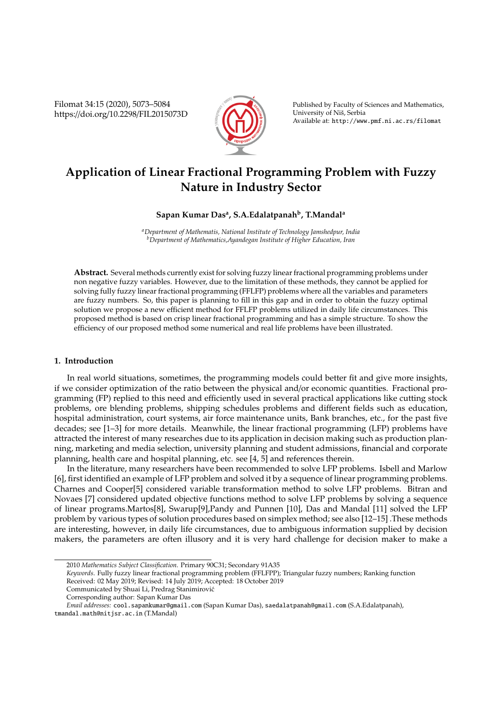Filomat 34:15 (2020), 5073–5084 https://doi.org/10.2298/FIL2015073D



Published by Faculty of Sciences and Mathematics, University of Niš, Serbia Available at: http://www.pmf.ni.ac.rs/filomat

# **Application of Linear Fractional Programming Problem with Fuzzy Nature in Industry Sector**

# **Sapan Kumar Das<sup>a</sup> , S.A.Edalatpanah<sup>b</sup> , T.Mandal<sup>a</sup>**

*<sup>a</sup>Department of Mathematis, National Institute of Technology Jamshedpur, India <sup>b</sup>Department of Mathematics,Ayandegan Institute of Higher Education, Iran*

**Abstract.** Several methods currently exist for solving fuzzy linear fractional programming problems under non negative fuzzy variables. However, due to the limitation of these methods, they cannot be applied for solving fully fuzzy linear fractional programming (FFLFP) problems where all the variables and parameters are fuzzy numbers. So, this paper is planning to fill in this gap and in order to obtain the fuzzy optimal solution we propose a new efficient method for FFLFP problems utilized in daily life circumstances. This proposed method is based on crisp linear fractional programming and has a simple structure. To show the efficiency of our proposed method some numerical and real life problems have been illustrated.

## **1. Introduction**

In real world situations, sometimes, the programming models could better fit and give more insights, if we consider optimization of the ratio between the physical and/or economic quantities. Fractional programming (FP) replied to this need and efficiently used in several practical applications like cutting stock problems, ore blending problems, shipping schedules problems and different fields such as education, hospital administration, court systems, air force maintenance units, Bank branches, etc., for the past five decades; see [1–3] for more details. Meanwhile, the linear fractional programming (LFP) problems have attracted the interest of many researches due to its application in decision making such as production planning, marketing and media selection, university planning and student admissions, financial and corporate planning, health care and hospital planning, etc. see [4, 5] and references therein.

In the literature, many researchers have been recommended to solve LFP problems. Isbell and Marlow [6], first identified an example of LFP problem and solved it by a sequence of linear programming problems. Charnes and Cooper[5] considered variable transformation method to solve LFP problems. Bitran and Novaes [7] considered updated objective functions method to solve LFP problems by solving a sequence of linear programs.Martos[8], Swarup[9],Pandy and Punnen [10], Das and Mandal [11] solved the LFP problem by various types of solution procedures based on simplex method; see also [12–15] .These methods are interesting, however, in daily life circumstances, due to ambiguous information supplied by decision makers, the parameters are often illusory and it is very hard challenge for decision maker to make a

<sup>2010</sup> *Mathematics Subject Classification*. Primary 90C31; Secondary 91A35

*Keywords*. Fully fuzzy linear fractional programming problem (FFLFPP); Triangular fuzzy numbers; Ranking function

Received: 02 May 2019; Revised: 14 July 2019; Accepted: 18 October 2019

Communicated by Shuai Li, Predrag Stanimirovic´

Corresponding author: Sapan Kumar Das

*Email addresses:* cool.sapankumar@gmail.com (Sapan Kumar Das), saedalatpanah@gmail.com (S.A.Edalatpanah), tmandal.math@nitjsr.ac.in (T.Mandal)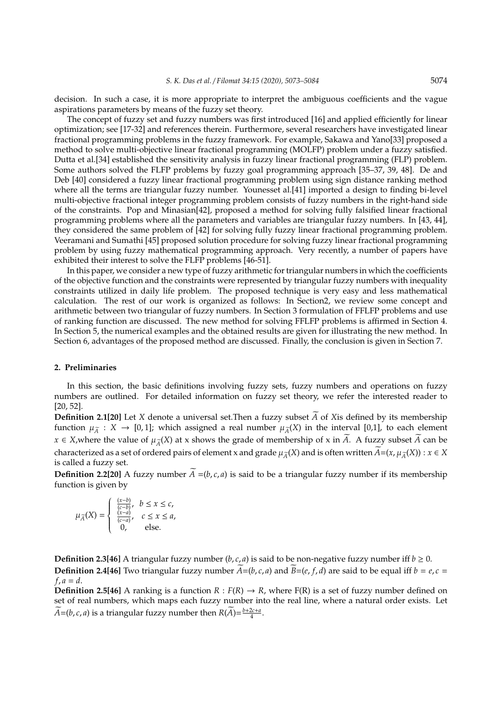decision. In such a case, it is more appropriate to interpret the ambiguous coefficients and the vague aspirations parameters by means of the fuzzy set theory.

The concept of fuzzy set and fuzzy numbers was first introduced [16] and applied efficiently for linear optimization; see [17-32] and references therein. Furthermore, several researchers have investigated linear fractional programming problems in the fuzzy framework. For example, Sakawa and Yano[33] proposed a method to solve multi-objective linear fractional programming (MOLFP) problem under a fuzzy satisfied. Dutta et al.[34] established the sensitivity analysis in fuzzy linear fractional programming (FLP) problem. Some authors solved the FLFP problems by fuzzy goal programming approach [35–37, 39, 48]. De and Deb [40] considered a fuzzy linear fractional programming problem using sign distance ranking method where all the terms are triangular fuzzy number. Younesset al.[41] imported a design to finding bi-level multi-objective fractional integer programming problem consists of fuzzy numbers in the right-hand side of the constraints. Pop and Minasian[42], proposed a method for solving fully falsified linear fractional programming problems where all the parameters and variables are triangular fuzzy numbers. In [43, 44], they considered the same problem of [42] for solving fully fuzzy linear fractional programming problem. Veeramani and Sumathi [45] proposed solution procedure for solving fuzzy linear fractional programming problem by using fuzzy mathematical programming approach. Very recently, a number of papers have exhibited their interest to solve the FLFP problems [46-51].

In this paper, we consider a new type of fuzzy arithmetic for triangular numbers in which the coefficients of the objective function and the constraints were represented by triangular fuzzy numbers with inequality constraints utilized in daily life problem. The proposed technique is very easy and less mathematical calculation. The rest of our work is organized as follows: In Section2, we review some concept and arithmetic between two triangular of fuzzy numbers. In Section 3 formulation of FFLFP problems and use of ranking function are discussed. The new method for solving FFLFP problems is affirmed in Section 4. In Section 5, the numerical examples and the obtained results are given for illustrating the new method. In Section 6, advantages of the proposed method are discussed. Finally, the conclusion is given in Section 7.

### **2. Preliminaries**

In this section, the basic definitions involving fuzzy sets, fuzzy numbers and operations on fuzzy numbers are outlined. For detailed information on fuzzy set theory, we refer the interested reader to [20, 52].

**Definition 2.1[20]** Let *X* denote a universal set. Then a fuzzy subset  $\overline{A}$  of *X*is defined by its membership function  $\mu_{\tilde{A}} : X \to [0,1]$ ; which assigned a real number  $\mu_{\tilde{A}}(X)$  in the interval [0,1], to each element *x* ∈ *X*,where the value of  $\mu_{\tilde{A}}(X)$  at x shows the grade of membership of x in  $\tilde{A}$ . A fuzzy subset  $\tilde{A}$  can be characterized as a set of ordered pairs of element x and grade  $\mu_{\overline{A}}(X)$  and is often written  $\overline{A}=(x,\mu_{\overline{A}}(X)):x\in X$ is called a fuzzy set.

**Definition 2.2[20]** A fuzzy number  $\widetilde{A} = (b, c, a)$  is said to be a triangular fuzzy number if its membership function is given by

$$
\mu_{\widetilde{A}}(X) = \left\{ \begin{array}{ll} \frac{(x-b)}{(c-b)}, & b \leq x \leq c, \\ \frac{(x-a)}{(c-a)}, & c \leq x \leq a, \\ 0, & \text{else}. \end{array} \right.
$$

**Definition 2.3[46]** A triangular fuzzy number  $(b, c, a)$  is said to be non-negative fuzzy number iff  $b \ge 0$ . **Definition 2.4[46]** Two triangular fuzzy number  $\widetilde{A} = (b, c, a)$  and  $\widetilde{B} = (e, f, d)$  are said to be equal iff  $b = e, c =$  $f, a = d$ .

**Definition 2.5[46]** A ranking is a function  $R : F(R) \to R$ , where  $F(R)$  is a set of fuzzy number defined on set of real numbers, which maps each fuzzy number into the real line, where a natural order exists. Let  $\widehat{A} = (b, c, a)$  is a triangular fuzzy number then  $R(A) = \frac{b + 2c + a}{4}$ .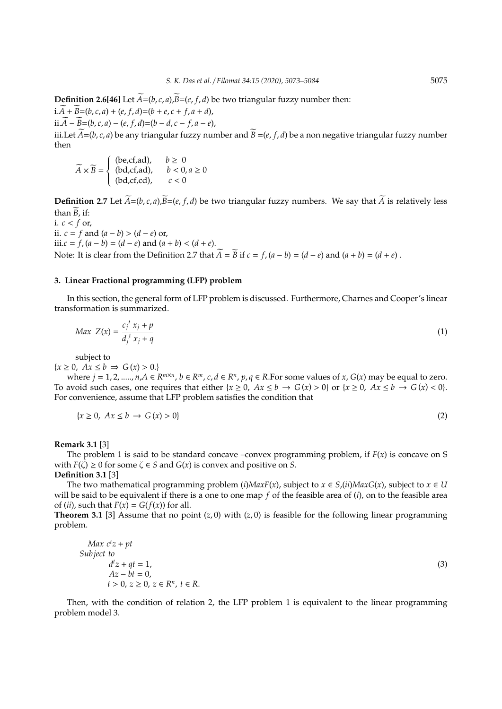**Definition 2.6[46]** Let  $\widetilde{A} = (b, c, a), \widetilde{B} = (e, f, d)$  be two triangular fuzzy number then:  $i.A + B = (b, c, a) + (e, f, d) = (b + e, c + f, a + d),$ ii.*A* −  $\overline{B}$ =(*b*, *c*, *a*) − (*e*, *f*, *d*)=(*b* − *d*, *c* − *f*, *a* − *e*),

iii.Let  $\widetilde{A}=(b,c,a)$  be any triangular fuzzy number and  $\widetilde{B}=(e, f, d)$  be a non negative triangular fuzzy number then

$$
\widetilde{A} \times \widetilde{B} = \begin{cases}\n(\text{be,cf,ad}), & b \ge 0 \\
(\text{bd,cf,ad}), & b < 0, a \ge 0 \\
(\text{bd,cf,cd}), & c < 0\n\end{cases}
$$

**Definition 2.7** Let  $\widetilde{A}=(b, c, a), \widetilde{B}=(e, f, d)$  be two triangular fuzzy numbers. We say that  $\widetilde{A}$  is relatively less than  $\widetilde{B}$ , if:

i.  $c < f$  or, ii.  $c = f$  and  $(a - b) > (d - e)$  or, iii.*c* = *f*, (*a* − *b*) = (*d* − *e*) and (*a* + *b*) < (*d* + *e*). Note: It is clear from the Definition 2.7 that  $\widetilde{A} = \widetilde{B}$  if  $c = f$ ,  $(a - b) = (d - e)$  and  $(a + b) = (d + e)$ .

# **3. Linear Fractional programming (LFP) problem**

In this section, the general form of LFP problem is discussed. Furthermore, Charnes and Cooper's linear transformation is summarized.

$$
Max\ Z(x) = \frac{c_j^t x_j + p}{d_j^t x_j + q} \tag{1}
$$

subject to

 ${x \geq 0, Ax \leq b \Rightarrow G(x) > 0.}$ 

where  $j = 1, 2, \dots, n, A \in R^{m \times n}, b \in R^m, c, d \in R^n, p, q \in R$ . For some values of x,  $G(x)$  may be equal to zero. To avoid such cases, one requires that either  $\{x \ge 0, Ax \le b \to G(x) > 0\}$  or  $\{x \ge 0, Ax \le b \to G(x) < 0\}$ . For convenience, assume that LFP problem satisfies the condition that

$$
\{x \ge 0, Ax \le b \to G(x) > 0\}
$$
\n<sup>(2)</sup>

**Remark 3.1** [3]

The problem 1 is said to be standard concave –convex programming problem, if *F*(*x*) is concave on S with  $F(\bar{\zeta}) \ge 0$  for some  $\zeta \in S$  and  $G(x)$  is convex and positive on S.

**Definition 3.1** [3]

The two mathematical programming problem (*i*)*MaxF*(*x*), subject to  $x \in S$ ,(*ii*)*MaxG*(*x*), subject to  $x \in U$ will be said to be equivalent if there is a one to one map *f* of the feasible area of (*i*), on to the feasible area of (*ii*), such that  $F(x) = G(f(x))$  for all.

**Theorem 3.1** [3] Assume that no point  $(z, 0)$  with  $(z, 0)$  is feasible for the following linear programming problem.

$$
Max \ c^t z + pt
$$
  
Subject to  

$$
d^t z + qt = 1,
$$

$$
Az - bt = 0,
$$

$$
t > 0, z \ge 0, z \in R^n, t \in R.
$$

$$
(3)
$$

Then, with the condition of relation 2, the LFP problem 1 is equivalent to the linear programming problem model 3.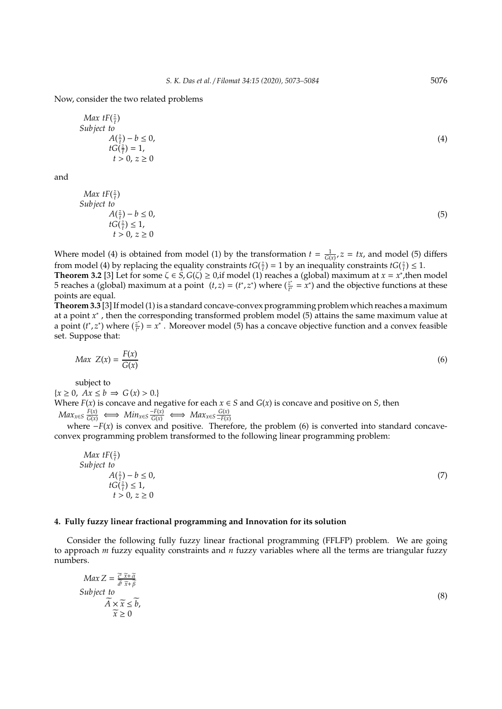#### Now, consider the two related problems

*Max*  $tF(\frac{z}{t})$ *Subject to*  $A(\frac{z}{t}) - b \leq 0,$  $tG(\frac{z}{t})=1$ ,  $t > 0, z > 0$ 

and

*Max*  $tF(\frac{z}{t})$ *Subject to*  $A(\frac{z}{t}) - b \le 0,$  $tG(\frac{z}{t}) \leq 1$ ,  $t > 0, z \ge 0$ 

(5)

Where model (4) is obtained from model (1) by the transformation  $t = \frac{1}{G(x)}$ ,  $z = tx$ , and model (5) differs from model (4) by replacing the equality constraints  $tG(\frac{z}{t}) = 1$  by an inequality constraints  $tG(\frac{z}{t}) \leq 1$ .

**Theorem 3.2** [3] Let for some  $\zeta \in \hat{S}$ ,  $G(\zeta) \ge 0$ , if model (1) reaches a (global) maximum at  $x = x^*$ , then model 5 reaches a (global) maximum at a point  $(t, z) = (t^*, z^*)$  where  $(\frac{z^*}{t^*} = x^*)$  and the objective functions at these points are equal.

**Theorem 3.3** [3] If model (1) is a standard concave-convex programming problem which reaches a maximum at a point *x* ∗ , then the corresponding transformed problem model (5) attains the same maximum value at a point  $(t^*, z^*)$  where  $(\frac{z^*}{t^*})$  $\left(\frac{z^*}{t}\right) = x^*$ . Moreover model (5) has a concave objective function and a convex feasible set. Suppose that:

$$
Max\ Z(x) = \frac{F(x)}{G(x)}\tag{6}
$$

subject to

 ${x \geq 0, Ax \leq b \Rightarrow G(x) > 0.}$ Where  $F(x)$  is concave and negative for each  $x \in S$  and  $G(x)$  is concave and positive on *S*, then  $Max_{x \in S} \frac{F(x)}{G(x)} \iff Min_{x \in S} \frac{-F(x)}{G(x)} \iff Max_{x \in S} \frac{G(x)}{-F(x)}$ 

where  $-F(x)$  is convex and positive. Therefore, the problem (6) is converted into standard concaveconvex programming problem transformed to the following linear programming problem:

$$
\begin{array}{ll}\n\text{Max } tF(\frac{z}{t})\\ \n\text{Subject to} \\ \nA(\frac{z}{t}) - b \le 0, \\ \ntG(\frac{z}{t}) \le 1, \\ \nt > 0, \ z \ge 0\n\end{array} \tag{7}
$$

## **4. Fully fuzzy linear fractional programming and Innovation for its solution**

Consider the following fully fuzzy linear fractional programming (FFLFP) problem. We are going to approach *m* fuzzy equality constraints and *n* fuzzy variables where all the terms are triangular fuzzy numbers.

$$
Max Z = \frac{\overrightarrow{c} \cdot \overrightarrow{x} + \overrightarrow{\alpha}}{\overrightarrow{d} \cdot \overrightarrow{x} + \overrightarrow{\beta}}
$$
  
Subject to  

$$
\overrightarrow{A} \times \overrightarrow{x} \leq \overrightarrow{b},
$$

$$
\overrightarrow{x} \geq 0
$$
 (8)

(4)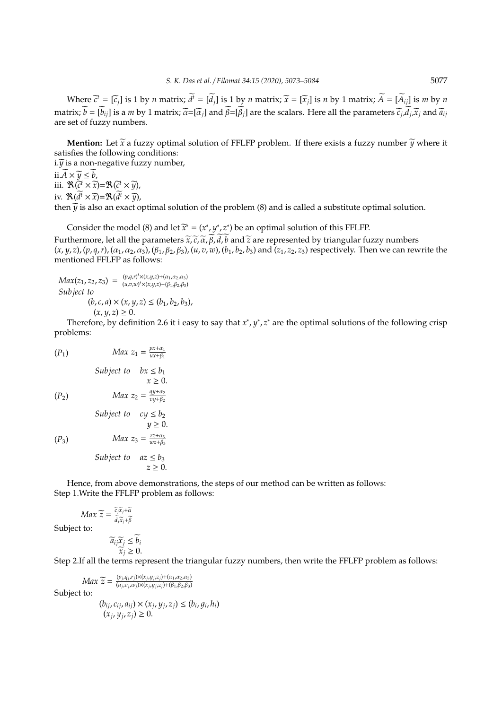Where  $\tilde{c}^t = [\tilde{c}_j]$  is 1 by *n* matrix;  $d^t = [d_j]$  is 1 by *n* matrix;  $\tilde{x} = [\tilde{x}_j]$  is *n* by 1 matrix;  $A = [A_{ij}]$  is *m* by *n* matrix;  $b = [b_{ij}]$  is a *m* by 1 matrix;  $\bar{\alpha} = [\bar{\alpha}_j]$  and  $\beta = [\beta_j]$  are the scalars. Here all the parameters  $\bar{c}_j$ ,  $d_j$ ,  $\bar{x}_j$  and  $\bar{a}_{ij}$ are set of fuzzy numbers.

**Mention:** Let  $\widetilde{x}$  a fuzzy optimal solution of FFLFP problem. If there exists a fuzzy number  $\widetilde{y}$  where it satisfies the following conditions:

 $i.\widetilde{y}$  is a non-negative fuzzy number, ii. $\widetilde{A} \times \widetilde{y} \leq b$ , iii.  $\mathbb{R}(\overline{c^t} \times \overline{x}) = \mathbb{R}(\overline{c^t} \times \overline{y}),$ iv.  $\mathfrak{R}(d^t \times \widetilde{x}) = \mathfrak{R}(d^t \times \widetilde{y})$ , then  $\tilde{y}$  is also an exact optimal solution of the problem (8) and is called a substitute optimal solution.

Consider the model (8) and let  $\widetilde{x}^* = (x^*, y^*, z^*)$  be an optimal solution of this FFLFP. Furthermore, let all the parameters  $\tilde{x},\tilde{c},\tilde{\alpha},\tilde{\beta},\tilde{d},\tilde{b}$  and  $\tilde{z}$  are represented by triangular fuzzy numbers  $(x, y, z)$ ,  $(p, q, r)$ ,  $(\alpha_1, \alpha_2, \alpha_3)$ ,  $(\beta_1, \beta_2, \beta_3)$ ,  $(u, v, w)$ ,  $(b_1, b_2, b_3)$  and  $(z_1, z_2, z_3)$  respectively. Then we can rewrite the mentioned FFLFP as follows:

 $Max(z_1, z_2, z_3) = \frac{(p,q,r)^t \times (x,y,z) + (a_1,a_2,a_3)}{(u.v.w)^t \times (x,y,z) + (b_1,b_2,b_3)}$ (*u*,*v*,*w*) *<sup>t</sup>*×(*x*,*y*,*z*)+(β1,β2,β3) *Subject to*  $(b, c, a) \times (x, y, z) \le (b_1, b_2, b_3),$  $(x, y, z) \geq 0.$ 

Therefore, by definition 2.6 it i easy to say that  $x^*$ ,  $y^*$ ,  $z^*$  are the optimal solutions of the following crisp problems:

$$
(P_1) \t Max z_1 = \frac{px + \alpha_1}{ux + \beta_1}
$$

Subject to 
$$
bx \le b_1
$$
  
\n $x \ge 0$ .  
\n $(P_2)$  Max  $z_2 = \frac{qy + \alpha_2}{vy + \beta_2}$ 

*Subject to*  $cy \leq b_2$  $y \geq 0$ .

(*P*<sub>3</sub>) *Max*  $z_3 = \frac{rz + \alpha_3}{wz + \beta_3}$ 

$$
Subject to \quad az \leq b_3
$$
  

$$
z \geq 0.
$$

*wz*+β<sup>3</sup>

Hence, from above demonstrations, the steps of our method can be written as follows: Step 1.Write the FFLFP problem as follows:

*Max*  $\widetilde{z} = \frac{\widetilde{c_j x_j + \alpha}}{\widetilde{d_j x_j + \beta}}$ Subject to:

$$
\widetilde{a}_{ij}\widetilde{x}_j \le \widetilde{b}_i
$$

$$
\widetilde{x}_i > 0.
$$

 $d_j\bar{x}_j+\beta$ 

 $\widetilde{\vec{x}}_j \geq 0$ .<br>Step 2.If all the terms represent the triangular fuzzy numbers, then write the FFLFP problem as follows:

$$
Max \ \widetilde{z} = \frac{(p_j, q_j, r_j) \times (x_j, y_j, z_j) + (\alpha_1, \alpha_2, \alpha_3)}{(u_j, v_j, w_j) \times (x_j, y_j, z_j) + (\beta_1, \beta_2, \beta_3)}
$$
  
to:  

$$
(b_{ij}, c_{ij}, a_{ij}) \times (x_j, y_j, z_j) \le (b_i, g_j)
$$

Subject

$$
(b_{ij}, c_{ij}, a_{ij}) \times (x_j, y_j, z_j) \le (b_i, g_i, h_i)
$$
  

$$
(x_j, y_j, z_j) \ge 0.
$$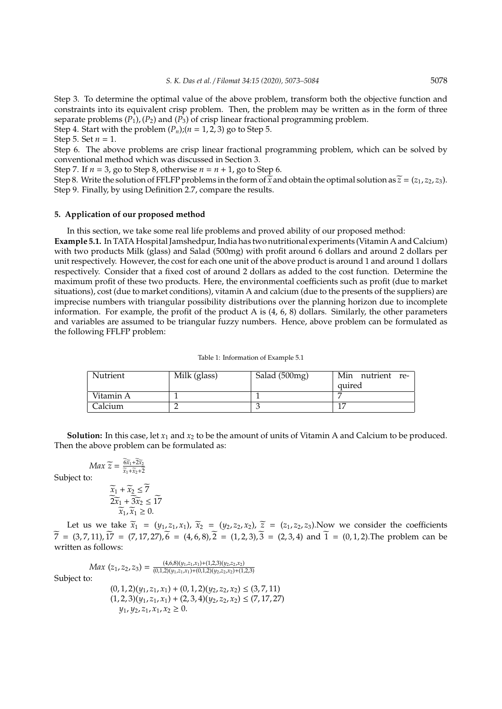Step 3. To determine the optimal value of the above problem, transform both the objective function and constraints into its equivalent crisp problem. Then, the problem may be written as in the form of three separate problems  $(P_1)$ ,  $(P_2)$  and  $(P_3)$  of crisp linear fractional programming problem.

Step 4. Start with the problem  $(P_n)$ ; $(n = 1, 2, 3)$  go to Step 5.

Step 5. Set  $n = 1$ .

Step 6. The above problems are crisp linear fractional programming problem, which can be solved by conventional method which was discussed in Section 3.

Step 7. If  $n = 3$ , go to Step 8, otherwise  $n = n + 1$ , go to Step 6.

Step 8. Write the solution of FFLFP problems in the form of  $\tilde{x}$  and obtain the optimal solution as  $\tilde{z} = (z_1, z_2, z_3)$ . Step 9. Finally, by using Definition 2.7, compare the results.

#### **5. Application of our proposed method**

In this section, we take some real life problems and proved ability of our proposed method:

**Example 5.1.** In TATA Hospital Jamshedpur, India has two nutritional experiments (Vitamin A and Calcium) with two products Milk (glass) and Salad (500mg) with profit around 6 dollars and around 2 dollars per unit respectively. However, the cost for each one unit of the above product is around 1 and around 1 dollars respectively. Consider that a fixed cost of around 2 dollars as added to the cost function. Determine the maximum profit of these two products. Here, the environmental coefficients such as profit (due to market situations), cost (due to market conditions), vitamin A and calcium (due to the presents of the suppliers) are imprecise numbers with triangular possibility distributions over the planning horizon due to incomplete information. For example, the profit of the product A is  $(4, 6, 8)$  dollars. Similarly, the other parameters and variables are assumed to be triangular fuzzy numbers. Hence, above problem can be formulated as the following FFLFP problem:

|  | Table 1: Information of Example 5.1 |  |  |
|--|-------------------------------------|--|--|
|--|-------------------------------------|--|--|

| Nutrient  | Milk (glass) | Salad (500mg) | Min nutrient re- |
|-----------|--------------|---------------|------------------|
|           |              |               | quired           |
| Vitamin A |              |               |                  |
| Calcium   |              |               | 1 <sub>1</sub>   |

**Solution:** In this case, let  $x_1$  and  $x_2$  to be the amount of units of Vitamin A and Calcium to be produced. Then the above problem can be formulated as:

*Max*  $\widetilde{z} = \frac{6\widetilde{x}_1 + 2\widetilde{x}_2}{\widetilde{x}_1 + \widetilde{x}_2 + \widetilde{z}}$  $x_1 + x_2 + 2$ 

Subject to:

$$
\begin{aligned}\n\widetilde{x}_1 + \widetilde{x}_2 &\leq \widetilde{7} \\
\widetilde{2x}_1 + \widetilde{3x}_2 &\leq \widetilde{17} \\
\widetilde{x}_1, \widetilde{x}_1 &\geq 0.\n\end{aligned}
$$

Let us we take  $\widetilde{x}_1 = (y_1, z_1, x_1)$ ,  $\widetilde{x}_2 = (y_2, z_2, x_2)$ ,  $\widetilde{z} = (z_1, z_2, z_3)$ . Now we consider the coefficients  $\overline{7} = (3, 7, 11), \overline{17} = (7, 17, 27), \overline{6} = (4, 6, 8), \overline{2} = (1, 2, 3), \overline{3} = (2, 3, 4) \text{ and } \overline{1} = (0, 1, 2).$  The problem can be written as follows:

$$
Max(z_1, z_2, z_3) = \frac{(4,6,8)(y_1, z_1, x_1) + (1,2,3)(y_2, z_2, x_2)}{(0,1,2)(y_1, z_1, x_1) + (0,1,2)(y_2, z_2, x_2) + (1,2,3)}
$$
  
Subject to:  

$$
(0,1,2)(y_1, z_1, x_1) + (0,1,2)(y_2, z_2, x_2) \le (3,7,11)
$$

$$
(1,2,3)(y_1, z_1, x_1) + (2,3,4)(y_2, z_2, x_2) \le (7,17,27)
$$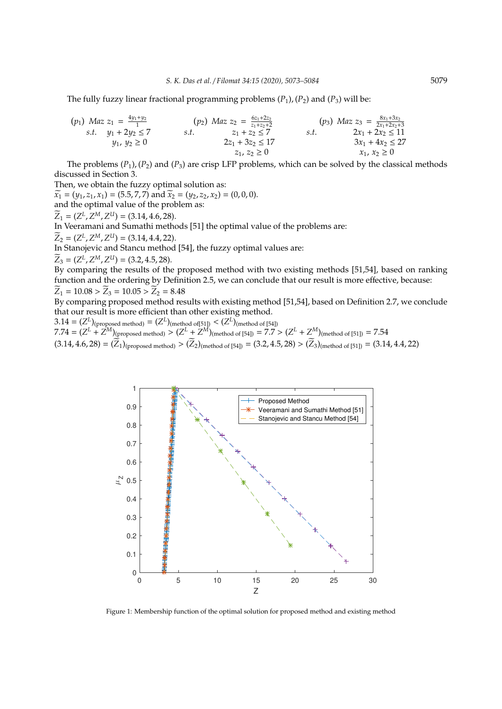The fully fuzzy linear fractional programming problems  $(P_1)$ ,  $(P_2)$  and  $(P_3)$  will be:

$$
\begin{array}{llll}\n(p_1) \quad Maz \; z_1 = \frac{4y_1 + y_2}{1} & (p_2) \quad Maz \; z_2 = \frac{6z_1 + 2z_2}{z_1 + z_2 + 2} & (p_3) \quad Maz \; z_3 = \frac{8x_1 + 3x_2}{2x_1 + 2x_2 + 3} \\
s.t. \quad y_1 + 2y_2 \le 7 & s.t. \quad z_1 + z_2 \le 7 & s.t. \quad 2x_1 + 2x_2 \le 11 \\
y_1, \; y_2 \ge 0 & 2z_1 + 3z_2 \le 17 & 3x_1 + 4x_2 \le 27 \\
z_1, \; z_2 \ge 0 & x_1, \; x_2 \ge 0\n\end{array}
$$

The problems  $(P_1)$ ,  $(P_2)$  and  $(P_3)$  are crisp LFP problems, which can be solved by the classical methods discussed in Section 3.

Then, we obtain the fuzzy optimal solution as:

 $\widetilde{x_1} = (y_1, z_1, x_1) = (5.5, 7, 7)$  and  $\widetilde{x_2} = (y_2, z_2, x_2) = (0, 0, 0).$ and the optimal value of the problem as:

 $Z_1 = (Z^L, Z^M, Z^U) = (3.14, 4.6, 28).$ 

In Veeramani and Sumathi methods [51] the optimal value of the problems are:

 $Z_2 = (Z^L, Z^M, Z^U) = (3.14, 4.4, 22).$ 

In Stanojevic and Stancu method [54], the fuzzy optimal values are:

 $Z_3 = (Z^L, Z^M, Z^U) = (3.2, 4.5, 28).$ 

By comparing the results of the proposed method with two existing methods [51,54], based on ranking function and the ordering by Definition 2.5, we can conclude that our result is more effective, because:  $\widetilde{Z}_1 = 10.08 > \widetilde{Z}_3 = 10.05 > \widetilde{Z}_2 = 8.48$ 

By comparing proposed method results with existing method [51,54], based on Definition 2.7, we conclude that our result is more efficient than other existing method.

 $3.14 = (Z^L)_{\text{(proposed method)}} = (Z^L)_{\text{(method of [51])}} < (Z^L)_{\text{(method of [54])}}$  $7.74 = (Z^L + Z^M)_{\text{(proposed method)}} > (Z^L + Z^M)_{\text{(method of [54])}} = 7.7 > (Z^L + Z^M)_{\text{(method of [51])}} = 7.54$  $(3.14, 4.6, 28) = (\overline{Z}_1)_{(proposed method)} > (\overline{Z}_2)_{(method of [54])} = (3.2, 4.5, 28) > (\overline{Z}_3)_{(method of [51])} = (3.14, 4.4, 22)$ 



Figure 1: Membership function of the optimal solution for proposed method and existing method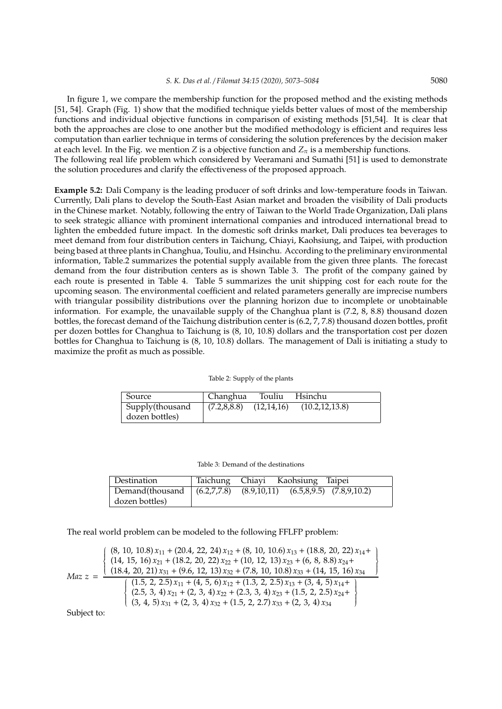In figure 1, we compare the membership function for the proposed method and the existing methods [51, 54]. Graph (Fig. 1) show that the modified technique yields better values of most of the membership functions and individual objective functions in comparison of existing methods [51,54]. It is clear that both the approaches are close to one another but the modified methodology is efficient and requires less computation than earlier technique in terms of considering the solution preferences by the decision maker at each level. In the Fig. we mention *Z* is a objective function and  $Z_{\pi}$  is a membership functions.

The following real life problem which considered by Veeramani and Sumathi [51] is used to demonstrate the solution procedures and clarify the effectiveness of the proposed approach.

**Example 5.2:** Dali Company is the leading producer of soft drinks and low-temperature foods in Taiwan. Currently, Dali plans to develop the South-East Asian market and broaden the visibility of Dali products in the Chinese market. Notably, following the entry of Taiwan to the World Trade Organization, Dali plans to seek strategic alliance with prominent international companies and introduced international bread to lighten the embedded future impact. In the domestic soft drinks market, Dali produces tea beverages to meet demand from four distribution centers in Taichung, Chiayi, Kaohsiung, and Taipei, with production being based at three plants in Changhua, Touliu, and Hsinchu. According to the preliminary environmental information, Table.2 summarizes the potential supply available from the given three plants. The forecast demand from the four distribution centers as is shown Table 3. The profit of the company gained by each route is presented in Table 4. Table 5 summarizes the unit shipping cost for each route for the upcoming season. The environmental coefficient and related parameters generally are imprecise numbers with triangular possibility distributions over the planning horizon due to incomplete or unobtainable information. For example, the unavailable supply of the Changhua plant is (7.2, 8, 8.8) thousand dozen bottles, the forecast demand of the Taichung distribution center is (6.2, 7, 7.8) thousand dozen bottles, profit per dozen bottles for Changhua to Taichung is (8, 10, 10.8) dollars and the transportation cost per dozen bottles for Changhua to Taichung is (8, 10, 10.8) dollars. The management of Dali is initiating a study to maximize the profit as much as possible.

Table 2: Supply of the plants

| Source          | Changhua                   | Touliu | Hsinchu          |
|-----------------|----------------------------|--------|------------------|
| Supply(thousand | $(7.2,8,8.8)$ $(12,14,16)$ |        | (10.2, 12, 13.8) |
| dozen bottles)  |                            |        |                  |

Table 3: Demand of the destinations

| Destination                                                        |  | Taichung Chiayi Kaohsiung Taipei |  |
|--------------------------------------------------------------------|--|----------------------------------|--|
| Demand(thousand   (6.2,7,7.8) (8.9,10,11) (6.5,8,9.5) (7.8,9,10.2) |  |                                  |  |
| dozen bottles)                                                     |  |                                  |  |

 $\lambda$  $\left\{\right.$  $\begin{array}{c} \hline \end{array}$ 

The real world problem can be modeled to the following FFLFP problem:

$$
Maz z = \frac{\begin{pmatrix} (8, 10, 10.8) x_{11} + (20.4, 22, 24) x_{12} + (8, 10, 10.6) x_{13} + (18.8, 20, 22) x_{14} + (14, 15, 16) x_{21} + (18.2, 20, 22) x_{22} + (10, 12, 13) x_{23} + (6, 8, 8.8) x_{24} + (18.4, 20, 21) x_{31} + (9.6, 12, 13) x_{32} + (7.8, 10, 10.8) x_{33} + (14, 15, 16) x_{34} + (1.5, 2, 2.5) x_{11} + (4, 5, 6) x_{12} + (1.3, 2, 2.5) x_{13} + (3, 4, 5) x_{14} + (2.5, 3, 4) x_{21} + (2, 3, 4) x_{22} + (2.3, 3, 4) x_{23} + (1.5, 2, 2.5) x_{24} + (3, 4, 5) x_{31} + (2, 3, 4) x_{32} + (1.5, 2, 2.7) x_{33} + (2, 3, 4) x_{34} \end{pmatrix}}
$$

Subject to: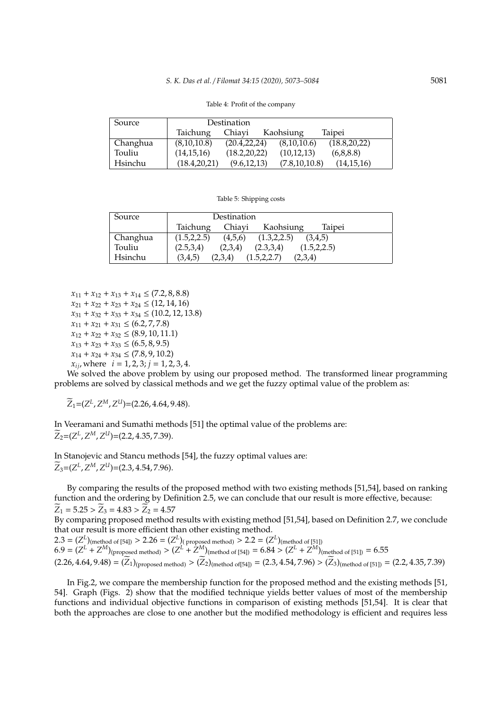#### *S. K. Das et al.* / *Filomat 34:15 (2020), 5073–5084* 5081

| Source   | Destination    |                |                 |                |
|----------|----------------|----------------|-----------------|----------------|
|          | Taichung       | Chiavi         | Kaohsiung       | Taipei         |
| Changhua | (8,10,10.8)    | (20.4, 22, 24) | (8,10,10.6)     | (18.8, 20, 22) |
| Touliu   | (14, 15, 16)   | (18.2, 20, 22) | (10, 12, 13)    | (6,8,8.8)      |
| Hsinchu  | (18.4, 20, 21) | (9.6, 12, 13)  | (7.8, 10, 10.8) | (14, 15, 16)   |

Table 4: Profit of the company

Table 5: Shipping costs

| Source   | Destination                                         |  |  |  |  |
|----------|-----------------------------------------------------|--|--|--|--|
|          | Chiavi<br>Taichung<br>Kaohsiung<br>Taipei           |  |  |  |  |
| Changhua | (1.5, 2, 2.5)<br>(1.3, 2.2.5)<br>(4,5,6)<br>(3.4.5) |  |  |  |  |
| Touliu   | (2.5,3,4)<br>(2.3,3.4)<br>(2,3,4)<br>(1.5, 2, 2.5)  |  |  |  |  |
| Hsinchu  | (3,4,5)<br>(1.5, 2, 2.7)<br>(2,3,4)<br>(2,3,4)      |  |  |  |  |

 $x_{11} + x_{12} + x_{13} + x_{14} \leq (7.2, 8, 8.8)$  $x_{21} + x_{22} + x_{23} + x_{24} \leq (12, 14, 16)$  $x_{31} + x_{32} + x_{33} + x_{34} \leq (10.2, 12, 13.8)$  $x_{11} + x_{21} + x_{31} \leq (6.2, 7, 7.8)$  $x_{12} + x_{22} + x_{32} \le (8.9, 10, 11.1)$  $x_{13} + x_{23} + x_{33} \le (6.5, 8, 9.5)$  $x_{14} + x_{24} + x_{34} \leq (7.8, 9, 10.2)$  $x_{ij}$ , where  $i = 1, 2, 3; j = 1, 2, 3, 4.$ 

We solved the above problem by using our proposed method. The transformed linear programming problems are solved by classical methods and we get the fuzzy optimal value of the problem as:

 $Z_1 = (Z^L, Z^M, Z^U) = (2.26, 4.64, 9.48).$ 

In Veeramani and Sumathi methods [51] the optimal value of the problems are:  $Z_2 = (Z^L, Z^M, Z^U) = (2.2, 4.35, 7.39).$ 

In Stanojevic and Stancu methods [54], the fuzzy optimal values are:  $Z_3 = (Z^L, Z^M, Z^U) = (2.3, 4.54, 7.96).$ 

By comparing the results of the proposed method with two existing methods [51,54], based on ranking function and the ordering by Definition 2.5, we can conclude that our result is more effective, because:  $\widetilde{Z}_1 = 5.25 > \widetilde{Z}_3 = 4.83 > \widetilde{Z}_2 = 4.57$ 

By comparing proposed method results with existing method [51,54], based on Definition 2.7, we conclude that our result is more efficient than other existing method.

 $2.3 = (Z^L)_{\text{(method of [54])}} > 2.26 = (Z^L)_{\text{(proposed method)}} > 2.2 = (Z^L)_{\text{(method of [51])}}$  $6.9 = (Z^L + Z^M)_{\text{(proposed method)}} > (Z^L + \dot{Z}^M)_{\text{(method of [54])}} = 6.84 > (Z^L + Z^M)_{\text{(method of [51])}} = 6.55$  $(2.26, 4.64, 9.48) = (\overline{Z}_1)_{(proposed method)} > (\overline{Z}_2)_{(method of [54])} = (2.3, 4.54, 7.96) > (\overline{Z}_3)_{(method of [51])} = (2.2, 4.35, 7.39)$ 

In Fig.2, we compare the membership function for the proposed method and the existing methods [51, 54]. Graph (Figs. 2) show that the modified technique yields better values of most of the membership functions and individual objective functions in comparison of existing methods [51,54]. It is clear that both the approaches are close to one another but the modified methodology is efficient and requires less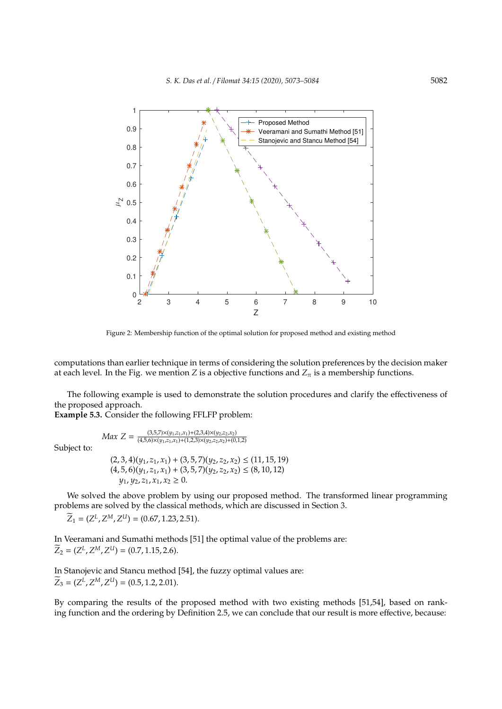

Figure 2: Membership function of the optimal solution for proposed method and existing method

computations than earlier technique in terms of considering the solution preferences by the decision maker at each level. In the Fig. we mention *Z* is a objective functions and  $Z<sub>\pi</sub>$  is a membership functions.

The following example is used to demonstrate the solution procedures and clarify the effectiveness of the proposed approach.

**Example 5.3.** Consider the following FFLFP problem:

*Max*  $Z = \frac{(3.5.7)\times(y_1,z_1,x_1)+(2.3.4)\times(y_2,z_2,x_2)}{(4.5.6)\times(y_1,z_1,x_1)+(1.2.3)\times(y_2,z_2,x_2)+(0.2.6)\times(y_1,z_2,x_1)}$ 

Subject to:

$$
(2,3,4)(y_1, z_1, x_1) + (3,5,7)(y_2, z_2, x_2) \le (11, 15, 19)
$$
  

$$
(4,5,6)(y_1, z_1, x_1) + (3,5,7)(y_2, z_2, x_2) \le (8, 10, 12)
$$
  

$$
y_1, y_2, z_1, x_1, x_2 \ge 0.
$$

 $\overline{(4,5,6)} \times (y_1,z_1,x_1)+(1,2,3) \times (y_2,z_2,x_2)+(0,1,2)$ 

We solved the above problem by using our proposed method. The transformed linear programming problems are solved by the classical methods, which are discussed in Section 3.

 $Z_1 = (Z^L, Z^M, Z^U) = (0.67, 1.23, 2.51).$ 

In Veeramani and Sumathi methods [51] the optimal value of the problems are:  $Z_2 = (Z^L, Z^M, Z^U) = (0.7, 1.15, 2.6).$ 

In Stanojevic and Stancu method [54], the fuzzy optimal values are:  $Z_3 = (Z^L, Z^M, Z^U) = (0.5, 1.2, 2.01).$ 

By comparing the results of the proposed method with two existing methods [51,54], based on ranking function and the ordering by Definition 2.5, we can conclude that our result is more effective, because: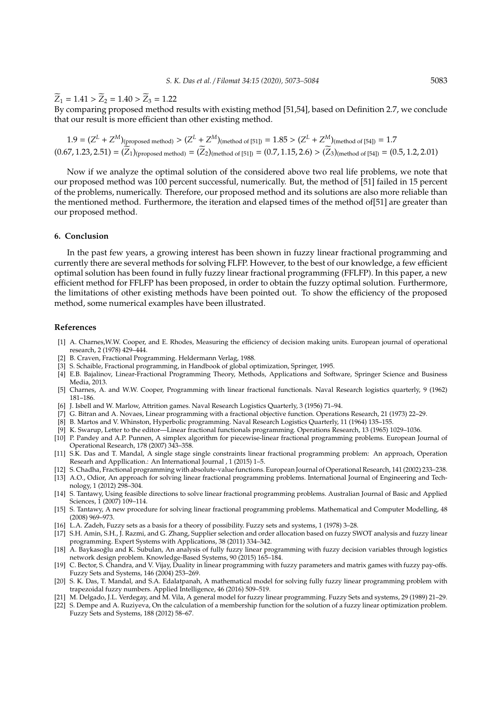$\widetilde{Z}_1 = 1.41 > \widetilde{Z}_2 = 1.40 > \widetilde{Z}_3 = 1.22$ 

By comparing proposed method results with existing method [51,54], based on Definition 2.7, we conclude that our result is more efficient than other existing method.

$$
1.9 = (Z^{L} + Z^{M})_{(proposed method)} > (Z^{L} + Z^{M})_{(method of [51])} = 1.85 > (Z^{L} + Z^{M})_{(method of [54])} = 1.7
$$
  
(0.67, 1.23, 2.51) =  $(\overline{Z}_{1})_{(proposed method)} = (\overline{Z}_{2})_{(method of [51])} = (0.7, 1.15, 2.6) > (\overline{Z}_{3})_{(method of [54])} = (0.5, 1.2, 2.01)$ 

Now if we analyze the optimal solution of the considered above two real life problems, we note that our proposed method was 100 percent successful, numerically. But, the method of [51] failed in 15 percent of the problems, numerically. Therefore, our proposed method and its solutions are also more reliable than the mentioned method. Furthermore, the iteration and elapsed times of the method of[51] are greater than our proposed method.

### **6. Conclusion**

In the past few years, a growing interest has been shown in fuzzy linear fractional programming and currently there are several methods for solving FLFP. However, to the best of our knowledge, a few efficient optimal solution has been found in fully fuzzy linear fractional programming (FFLFP). In this paper, a new efficient method for FFLFP has been proposed, in order to obtain the fuzzy optimal solution. Furthermore, the limitations of other existing methods have been pointed out. To show the efficiency of the proposed method, some numerical examples have been illustrated.

## **References**

- [1] A. Charnes,W.W. Cooper, and E. Rhodes, Measuring the efficiency of decision making units. European journal of operational research, 2 (1978) 429–444.
- B. Craven, Fractional Programming. Heldermann Verlag, 1988.
- [3] S. Schaible, Fractional programming, in Handbook of global optimization, Springer, 1995.
- [4] E.B. Bajalinov, Linear-Fractional Programming Theory, Methods, Applications and Software, Springer Science and Business Media, 2013.
- [5] Charnes, A. and W.W. Cooper, Programming with linear fractional functionals. Naval Research logistics quarterly, 9 (1962) 181–186.
- [6] J. Isbell and W. Marlow, Attrition games. Naval Research Logistics Quarterly, 3 (1956) 71–94.
- [7] G. Bitran and A. Novaes, Linear programming with a fractional objective function. Operations Research, 21 (1973) 22–29.
- [8] B. Martos and V. Whinston, Hyperbolic programming. Naval Research Logistics Quarterly, 11 (1964) 135–155.
- [9] K. Swarup, Letter to the editor—Linear fractional functionals programming. Operations Research, 13 (1965) 1029–1036.
- [10] P. Pandey and A.P. Punnen, A simplex algorithm for piecewise-linear fractional programming problems. European Journal of Operational Research, 178 (2007) 343–358.
- [11] S.K. Das and T. Mandal, A single stage single constraints linear fractional programming problem: An approach, Operation Researh and Appllication.: An International Journal , 1 (2015) 1–5.
- [12] S. Chadha, Fractional programming with absolute-value functions. European Journal of Operational Research, 141 (2002) 233–238. [13] A.O., Odior, An approach for solving linear fractional programming problems. International Journal of Engineering and Technology, 1 (2012) 298–304.
- [14] S. Tantawy, Using feasible directions to solve linear fractional programming problems. Australian Journal of Basic and Applied Sciences, 1 (2007) 109–114.
- [15] S. Tantawy, A new procedure for solving linear fractional programming problems. Mathematical and Computer Modelling, 48 (2008) 969–973.
- [16] L.A. Zadeh, Fuzzy sets as a basis for a theory of possibility. Fuzzy sets and systems, 1 (1978) 3–28.
- [17] S.H. Amin, S.H., J. Razmi, and G. Zhang, Supplier selection and order allocation based on fuzzy SWOT analysis and fuzzy linear programming. Expert Systems with Applications, 38 (2011) 334–342.
- [18] A. Baykasoglu and K. Subulan, An analysis of fully fuzzy linear programming with fuzzy decision variables through logistics ˘ network design problem. Knowledge-Based Systems, 90 (2015) 165–184.
- [19] C. Bector, S. Chandra, and V. Vijay, Duality in linear programming with fuzzy parameters and matrix games with fuzzy pay-offs. Fuzzy Sets and Systems, 146 (2004) 253–269.
- [20] S. K. Das, T. Mandal, and S.A. Edalatpanah, A mathematical model for solving fully fuzzy linear programming problem with trapezoidal fuzzy numbers. Applied Intelligence, 46 (2016) 509–519.
- [21] M. Delgado, J.L. Verdegay, and M. Vila, A general model for fuzzy linear programming. Fuzzy Sets and systems, 29 (1989) 21–29.
- [22] S. Dempe and A. Ruziyeva, On the calculation of a membership function for the solution of a fuzzy linear optimization problem. Fuzzy Sets and Systems, 188 (2012) 58–67.